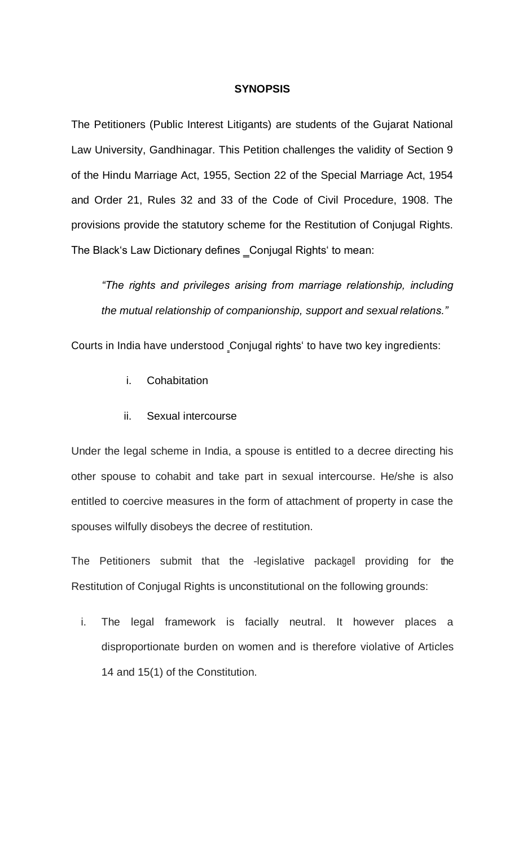### **SYNOPSIS**

The Petitioners (Public Interest Litigants) are students of the Gujarat National Law University, Gandhinagar. This Petition challenges the validity of Section 9 of the Hindu Marriage Act, 1955, Section 22 of the Special Marriage Act, 1954 and Order 21, Rules 32 and 33 of the Code of Civil Procedure, 1908. The provisions provide the statutory scheme for the Restitution of Conjugal Rights. The Black's Law Dictionary defines Conjugal Rights' to mean:

*"The rights and privileges arising from marriage relationship, including the mutual relationship of companionship, support and sexual relations."*

Courts in India have understood Conjugal rights' to have two key ingredients:

- i. Cohabitation
- ii. Sexual intercourse

Under the legal scheme in India, a spouse is entitled to a decree directing his other spouse to cohabit and take part in sexual intercourse. He/she is also entitled to coercive measures in the form of attachment of property in case the spouses wilfully disobeys the decree of restitution.

The Petitioners submit that the -legislative packagell providing for the Restitution of Conjugal Rights is unconstitutional on the following grounds:

i. The legal framework is facially neutral. It however places a disproportionate burden on women and is therefore violative of Articles 14 and 15(1) of the Constitution.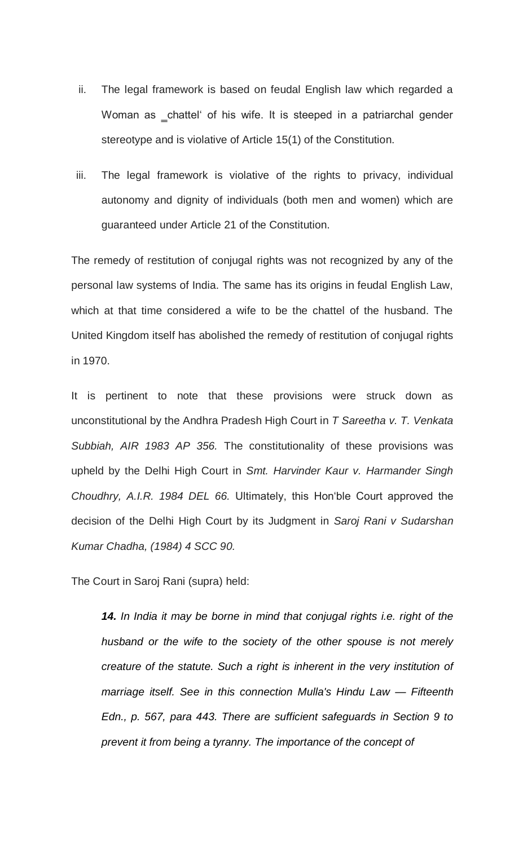- ii. The legal framework is based on feudal English law which regarded a Woman as chattel' of his wife. It is steeped in a patriarchal gender stereotype and is violative of Article 15(1) of the Constitution.
- iii. The legal framework is violative of the rights to privacy, individual autonomy and dignity of individuals (both men and women) which are guaranteed under Article 21 of the Constitution.

The remedy of restitution of conjugal rights was not recognized by any of the personal law systems of India. The same has its origins in feudal English Law, which at that time considered a wife to be the chattel of the husband. The United Kingdom itself has abolished the remedy of restitution of conjugal rights in 1970.

It is pertinent to note that these provisions were struck down as unconstitutional by the Andhra Pradesh High Court in *T Sareetha v. T. Venkata Subbiah, AIR 1983 AP 356.* The constitutionality of these provisions was upheld by the Delhi High Court in *Smt. Harvinder Kaur v. Harmander Singh Choudhry, A.I.R. 1984 DEL 66.* Ultimately, this Hon'ble Court approved the decision of the Delhi High Court by its Judgment in *Saroj Rani v Sudarshan Kumar Chadha, (1984) 4 SCC 90.*

The Court in Saroj Rani (supra) held:

*14. In India it may be borne in mind that conjugal rights i.e. right of the husband or the wife to the society of the other spouse is not merely creature of the statute. Such a right is inherent in the very institution of marriage itself. See in this connection Mulla's Hindu Law — Fifteenth Edn., p. 567, para 443. There are sufficient safeguards in Section 9 to prevent it from being a tyranny. The importance of the concept of*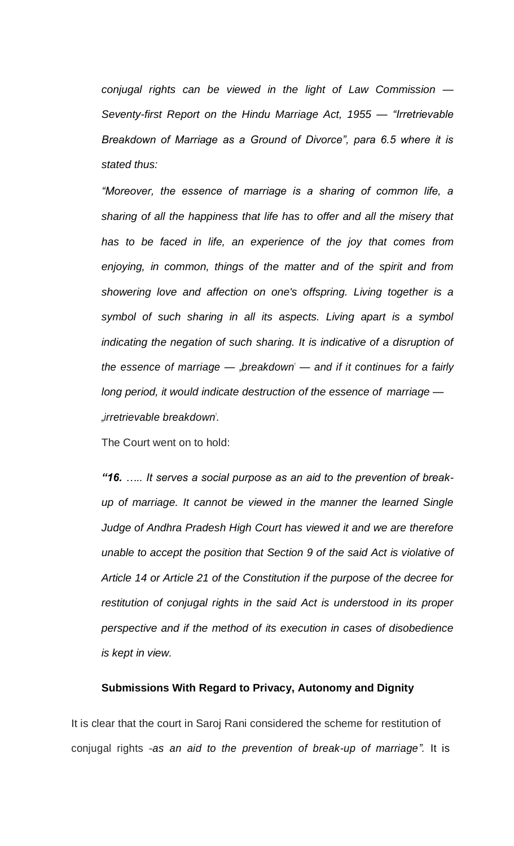*conjugal rights can be viewed in the light of Law Commission — Seventy-first Report on the Hindu Marriage Act, 1955 — "Irretrievable Breakdown of Marriage as a Ground of Divorce", para 6.5 where it is stated thus:*

*"Moreover, the essence of marriage is a sharing of common life, a sharing of all the happiness that life has to offer and all the misery that has to be faced in life, an experience of the joy that comes from enjoying, in common, things of the matter and of the spirit and from showering love and affection on one's offspring. Living together is a symbol of such sharing in all its aspects. Living apart is a symbol*  indicating the negation of such sharing. It is indicative of a disruption of *the essence of marriage — "breakdown" — and if it continues for a fairly long period, it would indicate destruction of the essence of marriage — "irretrievable breakdown".*

The Court went on to hold:

*"16. ….. It serves a social purpose as an aid to the prevention of breakup of marriage. It cannot be viewed in the manner the learned Single Judge of Andhra Pradesh High Court has viewed it and we are therefore unable to accept the position that Section 9 of the said Act is violative of Article 14 or Article 21 of the Constitution if the purpose of the decree for restitution of conjugal rights in the said Act is understood in its proper perspective and if the method of its execution in cases of disobedience is kept in view.*

### **Submissions With Regard to Privacy, Autonomy and Dignity**

It is clear that the court in Saroj Rani considered the scheme for restitution of conjugal rights ―*as an aid to the prevention of break-up of marriage".* It is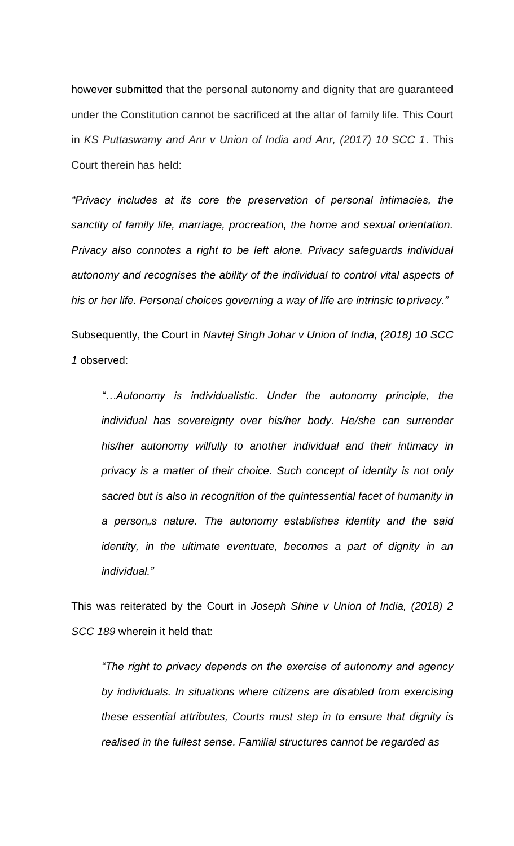however submitted that the personal autonomy and dignity that are guaranteed under the Constitution cannot be sacrificed at the altar of family life. This Court in *KS Puttaswamy and Anr v Union of India and Anr, (2017) 10 SCC 1*. This Court therein has held:

*"Privacy includes at its core the preservation of personal intimacies, the sanctity of family life, marriage, procreation, the home and sexual orientation. Privacy also connotes a right to be left alone. Privacy safeguards individual autonomy and recognises the ability of the individual to control vital aspects of his or her life. Personal choices governing a way of life are intrinsic to privacy."*

Subsequently, the Court in *Navtej Singh Johar v Union of India, (2018) 10 SCC 1* observed:

*"…Autonomy is individualistic. Under the autonomy principle, the individual has sovereignty over his/her body. He/she can surrender his/her autonomy wilfully to another individual and their intimacy in privacy is a matter of their choice. Such concept of identity is not only sacred but is also in recognition of the quintessential facet of humanity in a person"s nature. The autonomy establishes identity and the said identity, in the ultimate eventuate, becomes a part of dignity in an individual."*

This was reiterated by the Court in *Joseph Shine v Union of India, (2018) 2 SCC 189* wherein it held that:

*"The right to privacy depends on the exercise of autonomy and agency by individuals. In situations where citizens are disabled from exercising these essential attributes, Courts must step in to ensure that dignity is realised in the fullest sense. Familial structures cannot be regarded as*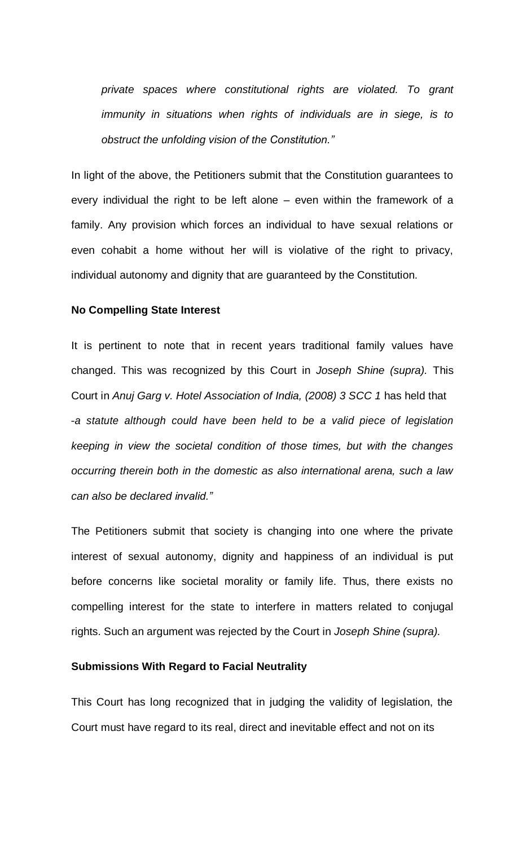*private spaces where constitutional rights are violated. To grant immunity in situations when rights of individuals are in siege, is to obstruct the unfolding vision of the Constitution."*

In light of the above, the Petitioners submit that the Constitution guarantees to every individual the right to be left alone – even within the framework of a family. Any provision which forces an individual to have sexual relations or even cohabit a home without her will is violative of the right to privacy, individual autonomy and dignity that are guaranteed by the Constitution.

#### **No Compelling State Interest**

It is pertinent to note that in recent years traditional family values have changed. This was recognized by this Court in *Joseph Shine (supra).* This Court in *Anuj Garg v. Hotel Association of India, (2008) 3 SCC 1* has held that ―*a statute although could have been held to be a valid piece of legislation keeping in view the societal condition of those times, but with the changes occurring therein both in the domestic as also international arena, such a law can also be declared invalid."*

The Petitioners submit that society is changing into one where the private interest of sexual autonomy, dignity and happiness of an individual is put before concerns like societal morality or family life. Thus, there exists no compelling interest for the state to interfere in matters related to conjugal rights. Such an argument was rejected by the Court in *Joseph Shine (supra).*

### **Submissions With Regard to Facial Neutrality**

This Court has long recognized that in judging the validity of legislation, the Court must have regard to its real, direct and inevitable effect and not on its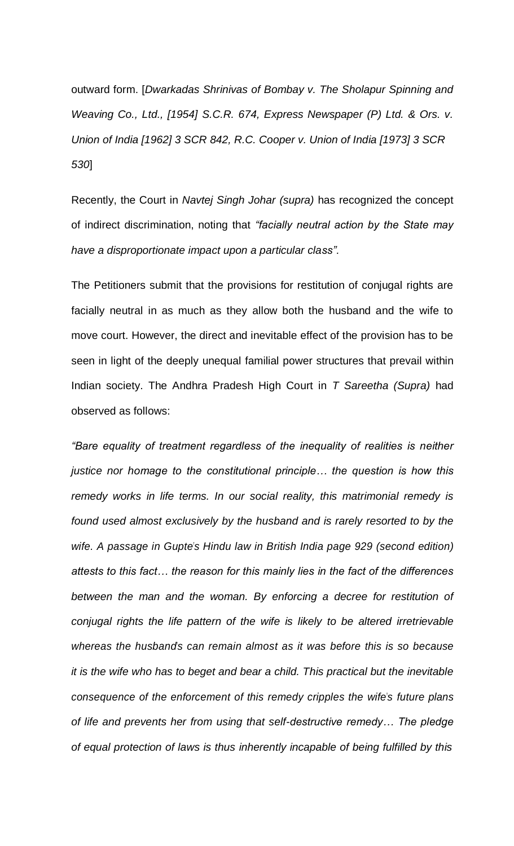outward form. [*Dwarkadas Shrinivas of Bombay v. The Sholapur Spinning and Weaving Co., Ltd., [1954] S.C.R. 674, Express Newspaper (P) Ltd. & Ors. v. Union of India [1962] 3 SCR 842, R.C. Cooper v. Union of India [1973] 3 SCR 530*]

Recently, the Court in *Navtej Singh Johar (supra)* has recognized the concept of indirect discrimination, noting that *"facially neutral action by the State may have a disproportionate impact upon a particular class".*

The Petitioners submit that the provisions for restitution of conjugal rights are facially neutral in as much as they allow both the husband and the wife to move court. However, the direct and inevitable effect of the provision has to be seen in light of the deeply unequal familial power structures that prevail within Indian society. The Andhra Pradesh High Court in *T Sareetha (Supra)* had observed as follows:

*"Bare equality of treatment regardless of the inequality of realities is neither justice nor homage to the constitutional principle… the question is how this remedy works in life terms. In our social reality, this matrimonial remedy is found used almost exclusively by the husband and is rarely resorted to by the wife. A passage in Gupte"s Hindu law in British India page 929 (second edition) attests to this fact… the reason for this mainly lies in the fact of the differences between the man and the woman. By enforcing a decree for restitution of conjugal rights the life pattern of the wife is likely to be altered irretrievable whereas the husband"s can remain almost as it was before this is so because it is the wife who has to beget and bear a child. This practical but the inevitable consequence of the enforcement of this remedy cripples the wife"s future plans of life and prevents her from using that self-destructive remedy… The pledge of equal protection of laws is thus inherently incapable of being fulfilled by this*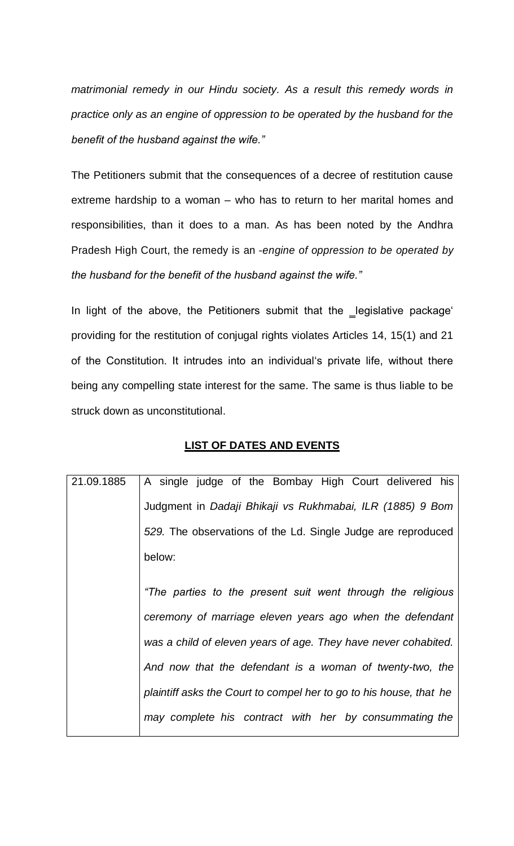*matrimonial remedy in our Hindu society. As a result this remedy words in practice only as an engine of oppression to be operated by the husband for the benefit of the husband against the wife."*

The Petitioners submit that the consequences of a decree of restitution cause extreme hardship to a woman – who has to return to her marital homes and responsibilities, than it does to a man. As has been noted by the Andhra Pradesh High Court, the remedy is an ―*engine of oppression to be operated by the husband for the benefit of the husband against the wife."*

In light of the above, the Petitioners submit that the \_legislative package' providing for the restitution of conjugal rights violates Articles 14, 15(1) and 21 of the Constitution. It intrudes into an individual's private life, without there being any compelling state interest for the same. The same is thus liable to be struck down as unconstitutional.

# **LIST OF DATES AND EVENTS**

| 21.09.1885 | A single judge of the Bombay High Court delivered his              |
|------------|--------------------------------------------------------------------|
|            | Judgment in Dadaji Bhikaji vs Rukhmabai, ILR (1885) 9 Bom          |
|            | 529. The observations of the Ld. Single Judge are reproduced       |
|            | below:                                                             |
|            | "The parties to the present suit went through the religious        |
|            | ceremony of marriage eleven years ago when the defendant           |
|            | was a child of eleven years of age. They have never cohabited.     |
|            | And now that the defendant is a woman of twenty-two, the           |
|            | plaintiff asks the Court to compel her to go to his house, that he |
|            | may complete his contract with her by consummating the             |
|            |                                                                    |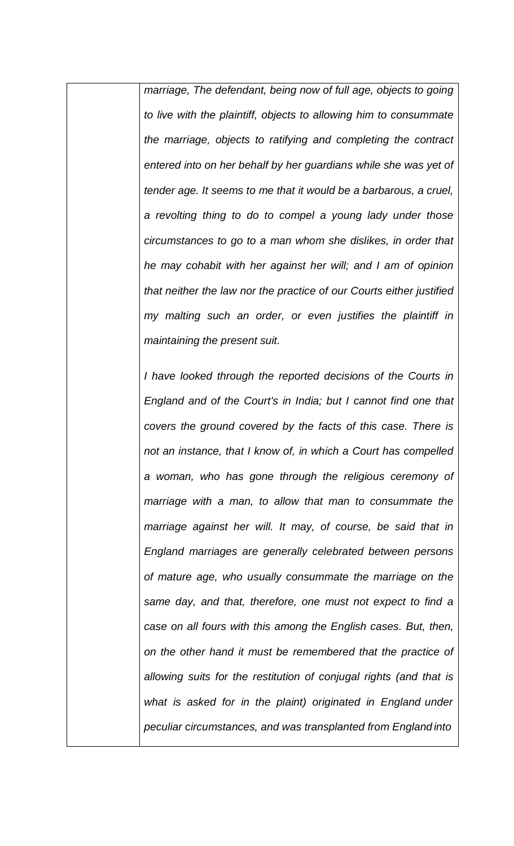*marriage, The defendant, being now of full age, objects to going to live with the plaintiff, objects to allowing him to consummate the marriage, objects to ratifying and completing the contract entered into on her behalf by her guardians while she was yet of tender age. It seems to me that it would be a barbarous, a cruel, a revolting thing to do to compel a young lady under those circumstances to go to a man whom she dislikes, in order that he may cohabit with her against her will; and I am of opinion that neither the law nor the practice of our Courts either justified my malting such an order, or even justifies the plaintiff in maintaining the present suit.*

*I have looked through the reported decisions of the Courts in England and of the Court's in India; but I cannot find one that covers the ground covered by the facts of this case. There is not an instance, that I know of, in which a Court has compelled a woman, who has gone through the religious ceremony of marriage with a man, to allow that man to consummate the marriage against her will. It may, of course, be said that in England marriages are generally celebrated between persons of mature age, who usually consummate the marriage on the same day, and that, therefore, one must not expect to find a case on all fours with this among the English cases. But, then, on the other hand it must be remembered that the practice of allowing suits for the restitution of conjugal rights (and that is what is asked for in the plaint) originated in England under peculiar circumstances, and was transplanted from England into*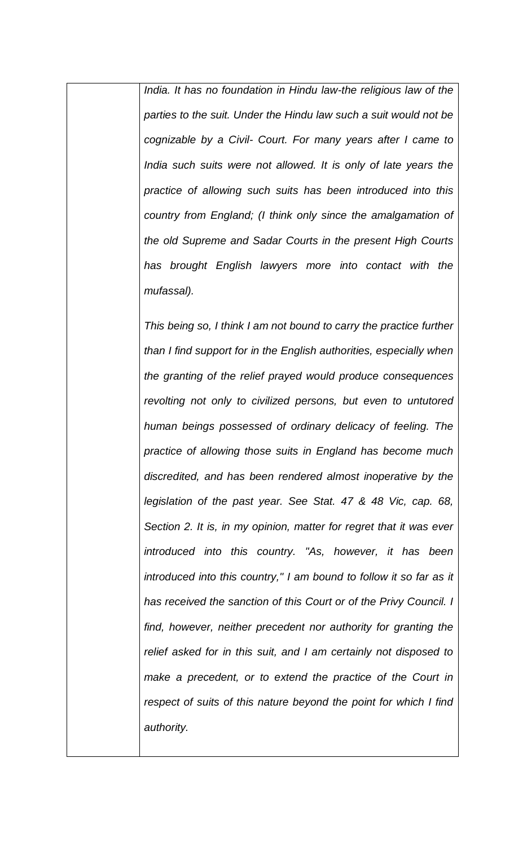*India. It has no foundation in Hindu law-the religious law of the parties to the suit. Under the Hindu law such a suit would not be cognizable by a Civil- Court. For many years after I came to India such suits were not allowed. It is only of late years the practice of allowing such suits has been introduced into this country from England; (I think only since the amalgamation of the old Supreme and Sadar Courts in the present High Courts has brought English lawyers more into contact with the mufassal).*

*This being so, I think I am not bound to carry the practice further than I find support for in the English authorities, especially when the granting of the relief prayed would produce consequences revolting not only to civilized persons, but even to untutored human beings possessed of ordinary delicacy of feeling. The practice of allowing those suits in England has become much discredited, and has been rendered almost inoperative by the legislation of the past year. See Stat. 47 & 48 Vic, cap. 68, Section 2. It is, in my opinion, matter for regret that it was ever introduced into this country. "As, however, it has been introduced into this country," I am bound to follow it so far as it has received the sanction of this Court or of the Privy Council. I find, however, neither precedent nor authority for granting the relief asked for in this suit, and I am certainly not disposed to make a precedent, or to extend the practice of the Court in respect of suits of this nature beyond the point for which I find authority.*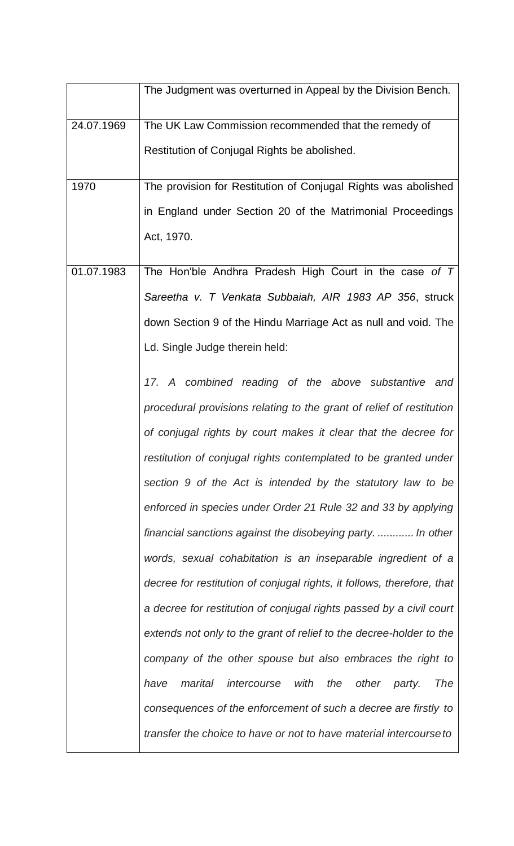|            | The Judgment was overturned in Appeal by the Division Bench.           |
|------------|------------------------------------------------------------------------|
| 24.07.1969 | The UK Law Commission recommended that the remedy of                   |
|            | Restitution of Conjugal Rights be abolished.                           |
| 1970       | The provision for Restitution of Conjugal Rights was abolished         |
|            | in England under Section 20 of the Matrimonial Proceedings             |
|            | Act, 1970.                                                             |
| 01.07.1983 | The Hon'ble Andhra Pradesh High Court in the case of $T$               |
|            | Sareetha v. T Venkata Subbaiah, AIR 1983 AP 356, struck                |
|            | down Section 9 of the Hindu Marriage Act as null and void. The         |
|            | Ld. Single Judge therein held:                                         |
|            | 17. A combined reading of the above substantive and                    |
|            | procedural provisions relating to the grant of relief of restitution   |
|            | of conjugal rights by court makes it clear that the decree for         |
|            | restitution of conjugal rights contemplated to be granted under        |
|            | section 9 of the Act is intended by the statutory law to be            |
|            | enforced in species under Order 21 Rule 32 and 33 by applying          |
|            | financial sanctions against the disobeying party.  In other            |
|            | words, sexual cohabitation is an inseparable ingredient of a           |
|            | decree for restitution of conjugal rights, it follows, therefore, that |
|            | a decree for restitution of conjugal rights passed by a civil court    |
|            | extends not only to the grant of relief to the decree-holder to the    |
|            | company of the other spouse but also embraces the right to             |
|            | intercourse with the<br>other party.<br><b>The</b><br>have<br>marital  |
|            | consequences of the enforcement of such a decree are firstly to        |
|            | transfer the choice to have or not to have material intercourse to     |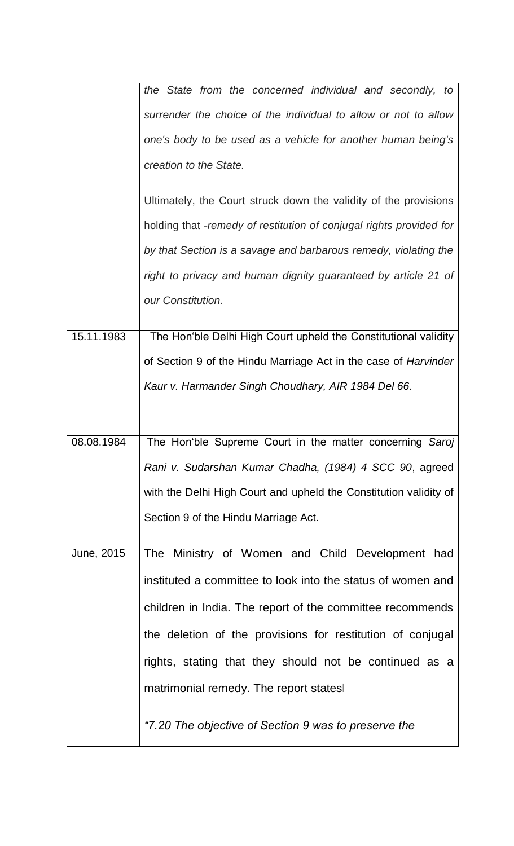|            | the State from the concerned individual and secondly, to            |
|------------|---------------------------------------------------------------------|
|            |                                                                     |
|            | surrender the choice of the individual to allow or not to allow     |
|            | one's body to be used as a vehicle for another human being's        |
|            | creation to the State.                                              |
|            | Ultimately, the Court struck down the validity of the provisions    |
|            | holding that -remedy of restitution of conjugal rights provided for |
|            | by that Section is a savage and barbarous remedy, violating the     |
|            | right to privacy and human dignity guaranteed by article 21 of      |
|            | our Constitution.                                                   |
| 15.11.1983 | The Hon'ble Delhi High Court upheld the Constitutional validity     |
|            | of Section 9 of the Hindu Marriage Act in the case of Harvinder     |
|            | Kaur v. Harmander Singh Choudhary, AIR 1984 Del 66.                 |
|            |                                                                     |
|            |                                                                     |
|            |                                                                     |
| 08.08.1984 | The Hon'ble Supreme Court in the matter concerning Saroj            |
|            | Rani v. Sudarshan Kumar Chadha, (1984) 4 SCC 90, agreed             |
|            | with the Delhi High Court and upheld the Constitution validity of   |
|            | Section 9 of the Hindu Marriage Act.                                |
| June, 2015 | The Ministry of Women and Child Development had                     |
|            | instituted a committee to look into the status of women and         |
|            | children in India. The report of the committee recommends           |
|            | the deletion of the provisions for restitution of conjugal          |
|            | rights, stating that they should not be continued as a              |
|            | matrimonial remedy. The report states                               |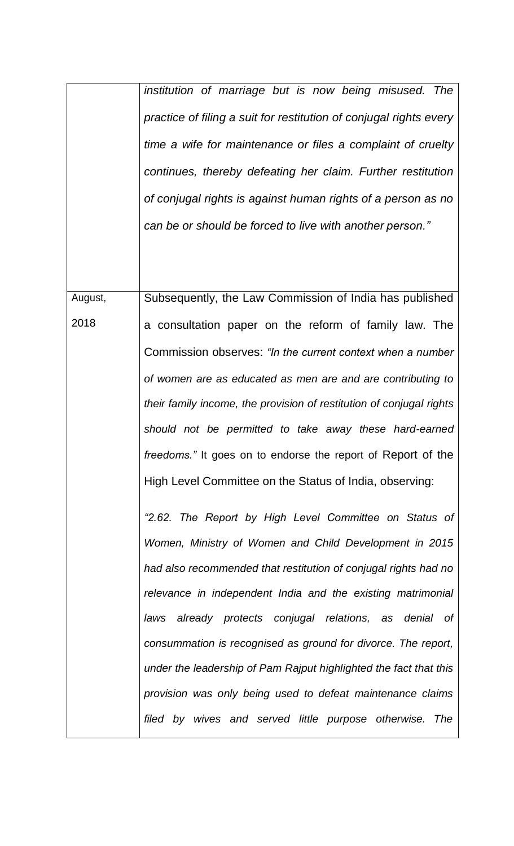|         | institution of marriage but is now being misused. The              |
|---------|--------------------------------------------------------------------|
|         | practice of filing a suit for restitution of conjugal rights every |
|         | time a wife for maintenance or files a complaint of cruelty        |
|         | continues, thereby defeating her claim. Further restitution        |
|         | of conjugal rights is against human rights of a person as no       |
|         | can be or should be forced to live with another person."           |
|         |                                                                    |
|         |                                                                    |
| August, | Subsequently, the Law Commission of India has published            |
| 2018    | a consultation paper on the reform of family law. The              |
|         | Commission observes: "In the current context when a number         |
|         |                                                                    |

*of women are as educated as men are and are contributing to their family income, the provision of restitution of conjugal rights should not be permitted to take away these hard-earned freedoms."* It goes on to endorse the report of Report of the High Level Committee on the Status of India, observing:

*"2.62. The Report by High Level Committee on Status of Women, Ministry of Women and Child Development in 2015 had also recommended that restitution of conjugal rights had no relevance in independent India and the existing matrimonial laws already protects conjugal relations, as denial of consummation is recognised as ground for divorce. The report, under the leadership of Pam Rajput highlighted the fact that this provision was only being used to defeat maintenance claims filed by wives and served little purpose otherwise. The*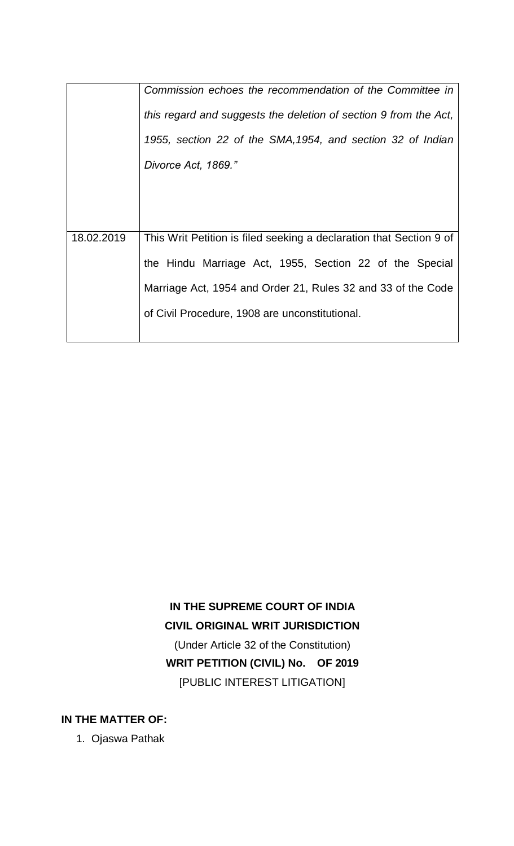|            | Commission echoes the recommendation of the Committee in            |
|------------|---------------------------------------------------------------------|
|            | this regard and suggests the deletion of section 9 from the Act,    |
|            | 1955, section 22 of the SMA, 1954, and section 32 of Indian         |
|            | Divorce Act, 1869."                                                 |
|            |                                                                     |
|            |                                                                     |
| 18.02.2019 | This Writ Petition is filed seeking a declaration that Section 9 of |
|            | the Hindu Marriage Act, 1955, Section 22 of the Special             |
|            | Marriage Act, 1954 and Order 21, Rules 32 and 33 of the Code        |
|            | of Civil Procedure, 1908 are unconstitutional.                      |
|            |                                                                     |

# **IN THE SUPREME COURT OF INDIA CIVIL ORIGINAL WRIT JURISDICTION** (Under Article 32 of the Constitution) **WRIT PETITION (CIVIL) No. OF 2019**  [PUBLIC INTEREST LITIGATION]

**IN THE MATTER OF:**

1. Ojaswa Pathak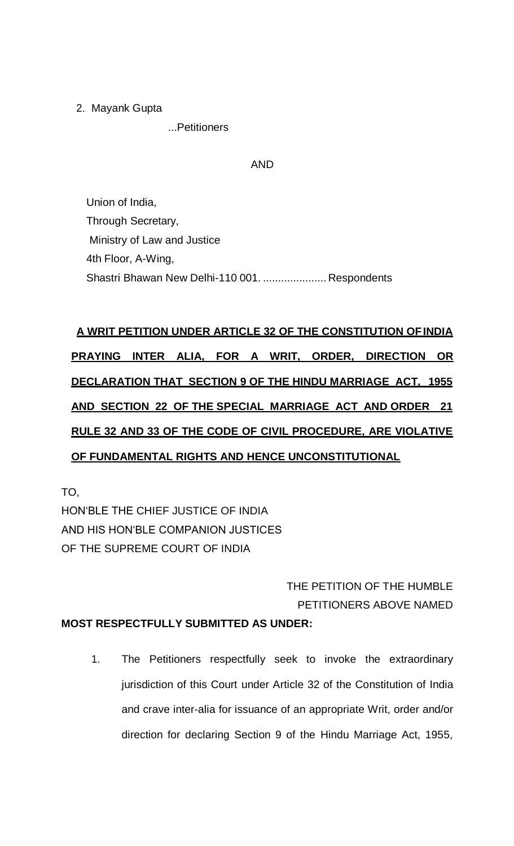2. Mayank Gupta

...Petitioners

## AND

Union of India, Through Secretary, Ministry of Law and Justice 4th Floor, A-Wing, Shastri Bhawan New Delhi-110 001. ..................... Respondents

# **A WRIT PETITION UNDER ARTICLE 32 OF THE CONSTITUTION OFINDIA PRAYING INTER ALIA, FOR A WRIT, ORDER, DIRECTION OR DECLARATION THAT SECTION 9 OF THE HINDU MARRIAGE ACT, 1955 AND SECTION 22 OF THE SPECIAL MARRIAGE ACT AND ORDER 21 RULE 32 AND 33 OF THE CODE OF CIVIL PROCEDURE, ARE VIOLATIVE OF FUNDAMENTAL RIGHTS AND HENCE UNCONSTITUTIONAL**

TO, HON'BLE THE CHIEF JUSTICE OF INDIA AND HIS HON'BLE COMPANION JUSTICES OF THE SUPREME COURT OF INDIA

# THE PETITION OF THE HUMBLE PETITIONERS ABOVE NAMED

# **MOST RESPECTFULLY SUBMITTED AS UNDER:**

1. The Petitioners respectfully seek to invoke the extraordinary jurisdiction of this Court under Article 32 of the Constitution of India and crave inter-alia for issuance of an appropriate Writ, order and/or direction for declaring Section 9 of the Hindu Marriage Act, 1955,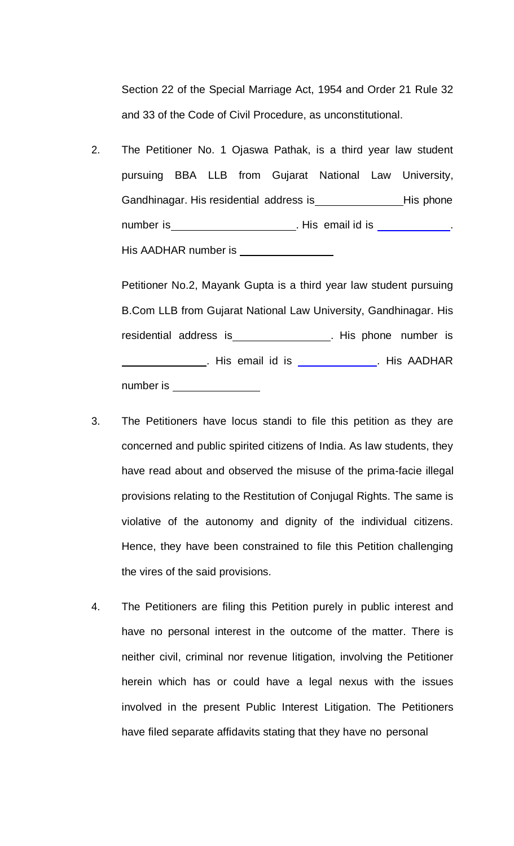Section 22 of the Special Marriage Act, 1954 and Order 21 Rule 32 and 33 of the Code of Civil Procedure, as unconstitutional.

2. The Petitioner No. 1 Ojaswa Pathak, is a third year law student pursuing BBA LLB from Gujarat National Law University, Gandhinagar. His residential address is His phone number is **Number is** . His email id is **Number** is His AADHAR number is

Petitioner No.2, Mayank Gupta is a third year law student pursuing B.Com LLB from Gujarat National Law University, Gandhinagar. His residential address is\_\_\_\_\_\_\_\_\_\_\_\_\_\_\_\_\_. His phone number is . His email id is . His AADHAR number is

- 3. The Petitioners have locus standi to file this petition as they are concerned and public spirited citizens of India. As law students, they have read about and observed the misuse of the prima-facie illegal provisions relating to the Restitution of Conjugal Rights. The same is violative of the autonomy and dignity of the individual citizens. Hence, they have been constrained to file this Petition challenging the vires of the said provisions.
- 4. The Petitioners are filing this Petition purely in public interest and have no personal interest in the outcome of the matter. There is neither civil, criminal nor revenue litigation, involving the Petitioner herein which has or could have a legal nexus with the issues involved in the present Public Interest Litigation. The Petitioners have filed separate affidavits stating that they have no personal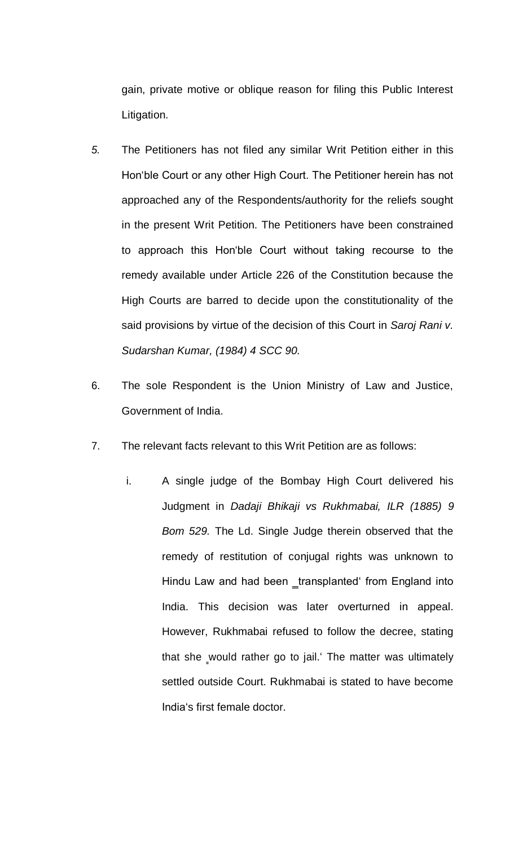gain, private motive or oblique reason for filing this Public Interest Litigation.

- *5.* The Petitioners has not filed any similar Writ Petition either in this Hon'ble Court or any other High Court. The Petitioner herein has not approached any of the Respondents/authority for the reliefs sought in the present Writ Petition. The Petitioners have been constrained to approach this Hon'ble Court without taking recourse to the remedy available under Article 226 of the Constitution because the High Courts are barred to decide upon the constitutionality of the said provisions by virtue of the decision of this Court in *Saroj Rani v. Sudarshan Kumar, (1984) 4 SCC 90.*
- 6. The sole Respondent is the Union Ministry of Law and Justice, Government of India.
- 7. The relevant facts relevant to this Writ Petition are as follows:
	- i. A single judge of the Bombay High Court delivered his Judgment in *Dadaji Bhikaji vs Rukhmabai, ILR (1885) 9 Bom 529.* The Ld. Single Judge therein observed that the remedy of restitution of conjugal rights was unknown to Hindu Law and had been \_transplanted' from England into India. This decision was later overturned in appeal. However, Rukhmabai refused to follow the decree, stating that she would rather go to jail.' The matter was ultimately settled outside Court. Rukhmabai is stated to have become India's first female doctor.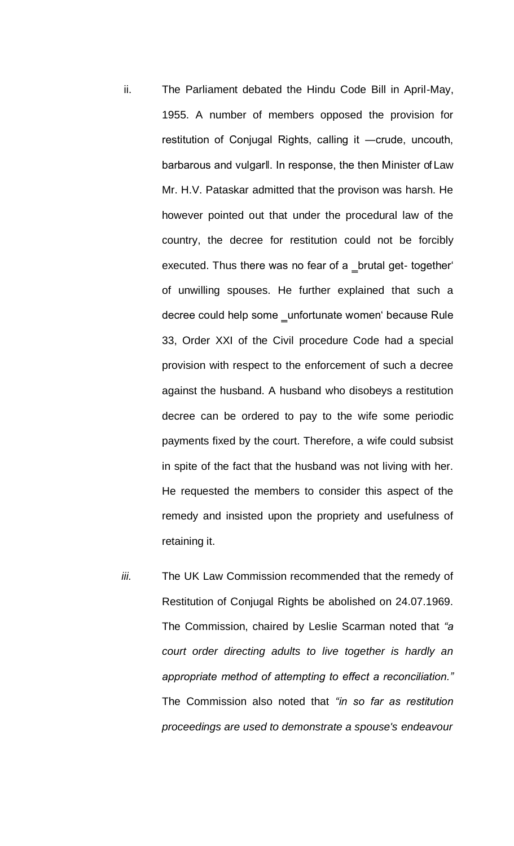- ii. The Parliament debated the Hindu Code Bill in April-May, 1955. A number of members opposed the provision for restitution of Conjugal Rights, calling it ―crude, uncouth, barbarous and vulgarll. In response, the then Minister of Law Mr. H.V. Pataskar admitted that the provison was harsh. He however pointed out that under the procedural law of the country, the decree for restitution could not be forcibly executed. Thus there was no fear of a \_brutal get- together' of unwilling spouses. He further explained that such a decree could help some \_unfortunate women' because Rule 33, Order XXI of the Civil procedure Code had a special provision with respect to the enforcement of such a decree against the husband. A husband who disobeys a restitution decree can be ordered to pay to the wife some periodic payments fixed by the court. Therefore, a wife could subsist in spite of the fact that the husband was not living with her. He requested the members to consider this aspect of the remedy and insisted upon the propriety and usefulness of retaining it.
- *iii.* The UK Law Commission recommended that the remedy of Restitution of Conjugal Rights be abolished on 24.07.1969. The Commission, chaired by Leslie Scarman noted that *"a court order directing adults to live together is hardly an appropriate method of attempting to effect a reconciliation."*  The Commission also noted that *"in so far as restitution proceedings are used to demonstrate a spouse's endeavour*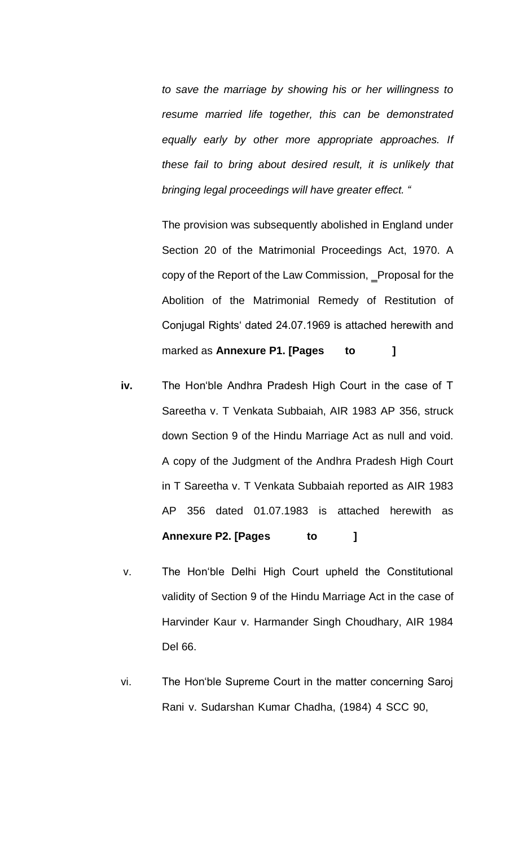*to save the marriage by showing his or her willingness to resume married life together, this can be demonstrated equally early by other more appropriate approaches. If these fail to bring about desired result, it is unlikely that bringing legal proceedings will have greater effect. "*

The provision was subsequently abolished in England under Section 20 of the Matrimonial Proceedings Act, 1970. A copy of the Report of the Law Commission, Proposal for the Abolition of the Matrimonial Remedy of Restitution of Conjugal Rights' dated 24.07.1969 is attached herewith and marked as **Annexure P1. [Pages to ]**

- **iv.** The Hon'ble Andhra Pradesh High Court in the case of T Sareetha v. T Venkata Subbaiah, AIR 1983 AP 356, struck down Section 9 of the Hindu Marriage Act as null and void. A copy of the Judgment of the Andhra Pradesh High Court in T Sareetha v. T Venkata Subbaiah reported as AIR 1983 AP 356 dated 01.07.1983 is attached herewith as **Annexure P2. [Pages to ]**
- v. The Hon'ble Delhi High Court upheld the Constitutional validity of Section 9 of the Hindu Marriage Act in the case of Harvinder Kaur v. Harmander Singh Choudhary, AIR 1984 Del 66.
- vi. The Hon'ble Supreme Court in the matter concerning Saroj Rani v. Sudarshan Kumar Chadha, (1984) 4 SCC 90,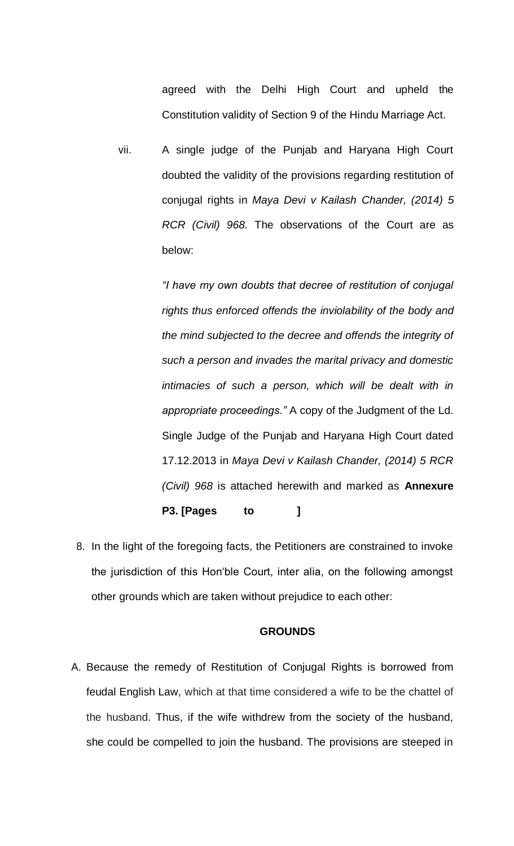agreed with the Delhi High Court and upheld the Constitution validity of Section 9 of the Hindu Marriage Act.

vii. A single judge of the Punjab and Haryana High Court doubted the validity of the provisions regarding restitution of conjugal rights in *Maya Devi v Kailash Chander, (2014) 5 RCR (Civil) 968.* The observations of the Court are as below:

> *"I have my own doubts that decree of restitution of conjugal rights thus enforced offends the inviolability of the body and the mind subjected to the decree and offends the integrity of such a person and invades the marital privacy and domestic intimacies of such a person, which will be dealt with in appropriate proceedings."* A copy of the Judgment of the Ld. Single Judge of the Punjab and Haryana High Court dated 17.12.2013 in *Maya Devi v Kailash Chander, (2014) 5 RCR (Civil) 968* is attached herewith and marked as **Annexure P3. [Pages to ]**

8. In the light of the foregoing facts, the Petitioners are constrained to invoke the jurisdiction of this Hon'ble Court, inter alia, on the following amongst other grounds which are taken without prejudice to each other:

### **GROUNDS**

A. Because the remedy of Restitution of Conjugal Rights is borrowed from feudal English Law, which at that time considered a wife to be the chattel of the husband. Thus, if the wife withdrew from the society of the husband, she could be compelled to join the husband. The provisions are steeped in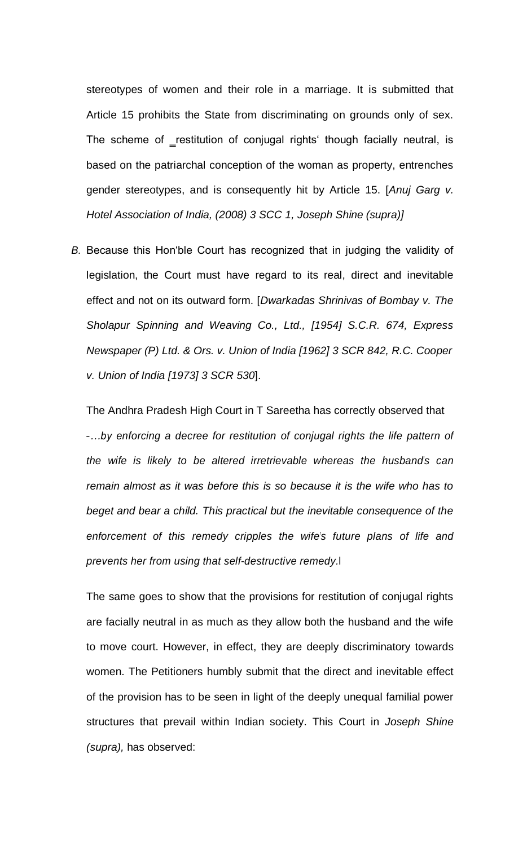stereotypes of women and their role in a marriage. It is submitted that Article 15 prohibits the State from discriminating on grounds only of sex. The scheme of restitution of conjugal rights' though facially neutral, is based on the patriarchal conception of the woman as property, entrenches gender stereotypes, and is consequently hit by Article 15. [*Anuj Garg v. Hotel Association of India, (2008) 3 SCC 1, Joseph Shine (supra)]*

*B.* Because this Hon'ble Court has recognized that in judging the validity of legislation, the Court must have regard to its real, direct and inevitable effect and not on its outward form. [*Dwarkadas Shrinivas of Bombay v. The Sholapur Spinning and Weaving Co., Ltd., [1954] S.C.R. 674, Express Newspaper (P) Ltd. & Ors. v. Union of India [1962] 3 SCR 842, R.C. Cooper v. Union of India [1973] 3 SCR 530*].

The Andhra Pradesh High Court in T Sareetha has correctly observed that ―*…by enforcing a decree for restitution of conjugal rights the life pattern of the wife is likely to be altered irretrievable whereas the husband"s can remain almost as it was before this is so because it is the wife who has to beget and bear a child. This practical but the inevitable consequence of the enforcement of this remedy cripples the wife"s future plans of life and prevents her from using that self-destructive remedy.*‖

The same goes to show that the provisions for restitution of conjugal rights are facially neutral in as much as they allow both the husband and the wife to move court. However, in effect, they are deeply discriminatory towards women. The Petitioners humbly submit that the direct and inevitable effect of the provision has to be seen in light of the deeply unequal familial power structures that prevail within Indian society. This Court in *Joseph Shine (supra),* has observed: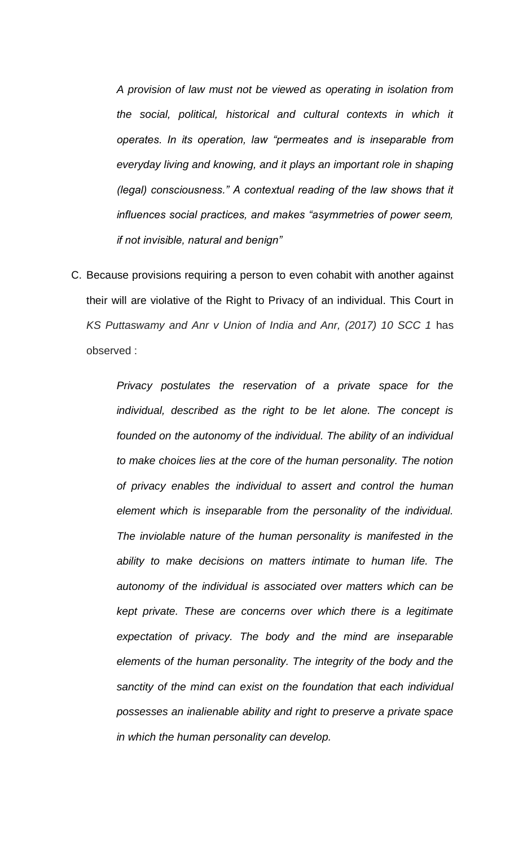*A provision of law must not be viewed as operating in isolation from the social, political, historical and cultural contexts in which it operates. In its operation, law "permeates and is inseparable from everyday living and knowing, and it plays an important role in shaping (legal) consciousness." A contextual reading of the law shows that it influences social practices, and makes "asymmetries of power seem, if not invisible, natural and benign"*

C. Because provisions requiring a person to even cohabit with another against their will are violative of the Right to Privacy of an individual. This Court in *KS Puttaswamy and Anr v Union of India and Anr, (2017) 10 SCC 1* has observed :

> *Privacy postulates the reservation of a private space for the individual, described as the right to be let alone. The concept is founded on the autonomy of the individual. The ability of an individual to make choices lies at the core of the human personality. The notion of privacy enables the individual to assert and control the human element which is inseparable from the personality of the individual. The inviolable nature of the human personality is manifested in the ability to make decisions on matters intimate to human life. The autonomy of the individual is associated over matters which can be kept private. These are concerns over which there is a legitimate expectation of privacy. The body and the mind are inseparable elements of the human personality. The integrity of the body and the sanctity of the mind can exist on the foundation that each individual possesses an inalienable ability and right to preserve a private space in which the human personality can develop.*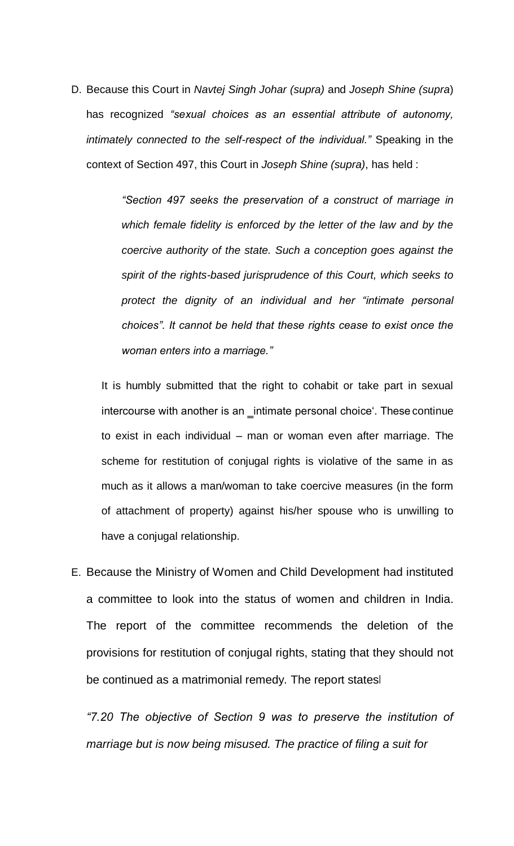D. Because this Court in *Navtej Singh Johar (supra)* and *Joseph Shine (supra*) has recognized *"sexual choices as an essential attribute of autonomy, intimately connected to the self-respect of the individual."* Speaking in the context of Section 497, this Court in *Joseph Shine (supra)*, has held :

> *"Section 497 seeks the preservation of a construct of marriage in which female fidelity is enforced by the letter of the law and by the coercive authority of the state. Such a conception goes against the spirit of the rights-based jurisprudence of this Court, which seeks to protect the dignity of an individual and her "intimate personal choices". It cannot be held that these rights cease to exist once the woman enters into a marriage."*

It is humbly submitted that the right to cohabit or take part in sexual intercourse with another is an \_intimate personal choice'. These continue to exist in each individual – man or woman even after marriage. The scheme for restitution of conjugal rights is violative of the same in as much as it allows a man/woman to take coercive measures (in the form of attachment of property) against his/her spouse who is unwilling to have a conjugal relationship.

E. Because the Ministry of Women and Child Development had instituted a committee to look into the status of women and children in India. The report of the committee recommends the deletion of the provisions for restitution of conjugal rights, stating that they should not be continued as a matrimonial remedy. The report states

*"7.20 The objective of Section 9 was to preserve the institution of marriage but is now being misused. The practice of filing a suit for*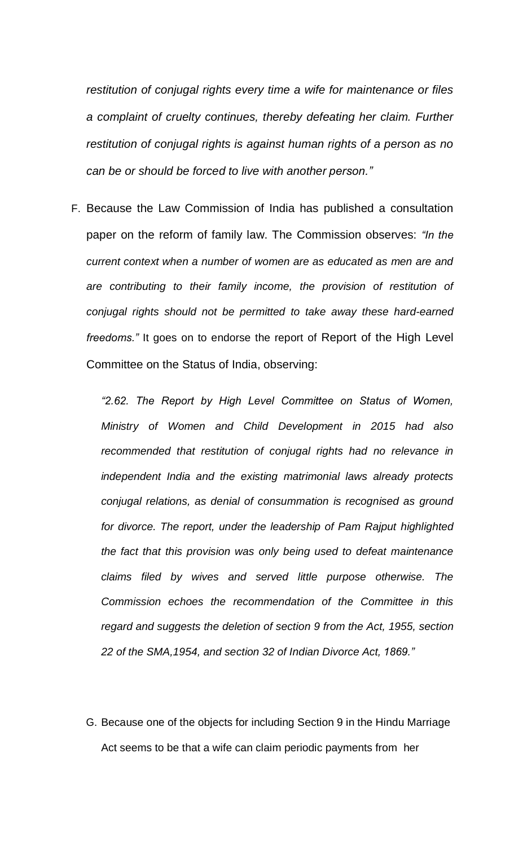*restitution of conjugal rights every time a wife for maintenance or files a complaint of cruelty continues, thereby defeating her claim. Further restitution of conjugal rights is against human rights of a person as no can be or should be forced to live with another person."*

F. Because the Law Commission of India has published a consultation paper on the reform of family law. The Commission observes: *"In the current context when a number of women are as educated as men are and*  are contributing to their family income, the provision of restitution of *conjugal rights should not be permitted to take away these hard-earned freedoms."* It goes on to endorse the report of Report of the High Level Committee on the Status of India, observing:

*"2.62. The Report by High Level Committee on Status of Women, Ministry of Women and Child Development in 2015 had also recommended that restitution of conjugal rights had no relevance in independent India and the existing matrimonial laws already protects conjugal relations, as denial of consummation is recognised as ground for divorce. The report, under the leadership of Pam Rajput highlighted the fact that this provision was only being used to defeat maintenance claims filed by wives and served little purpose otherwise. The Commission echoes the recommendation of the Committee in this regard and suggests the deletion of section 9 from the Act, 1955, section 22 of the SMA,1954, and section 32 of Indian Divorce Act, 1869."*

G. Because one of the objects for including Section 9 in the Hindu Marriage Act seems to be that a wife can claim periodic payments from her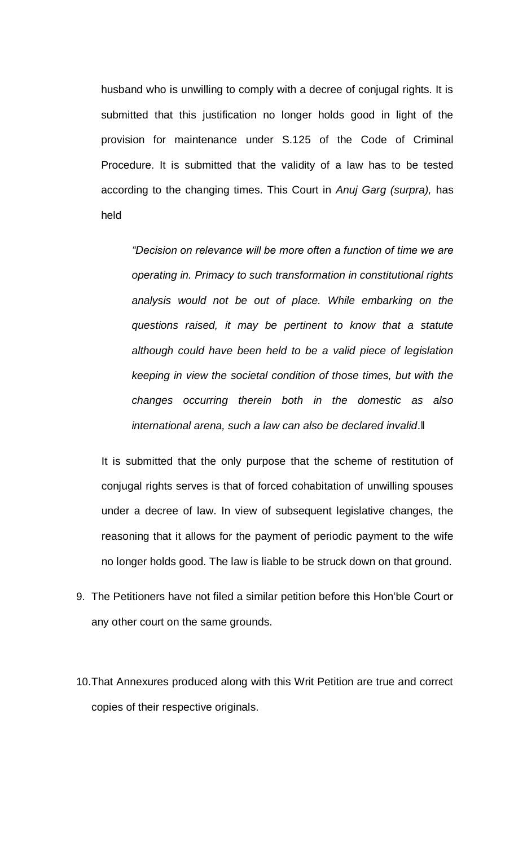husband who is unwilling to comply with a decree of conjugal rights. It is submitted that this justification no longer holds good in light of the provision for maintenance under S.125 of the Code of Criminal Procedure. It is submitted that the validity of a law has to be tested according to the changing times. This Court in *Anuj Garg (surpra),* has held

*"Decision on relevance will be more often a function of time we are operating in. Primacy to such transformation in constitutional rights analysis would not be out of place. While embarking on the questions raised, it may be pertinent to know that a statute although could have been held to be a valid piece of legislation keeping in view the societal condition of those times, but with the changes occurring therein both in the domestic as also international arena, such a law can also be declared invalid*.‖

It is submitted that the only purpose that the scheme of restitution of conjugal rights serves is that of forced cohabitation of unwilling spouses under a decree of law. In view of subsequent legislative changes, the reasoning that it allows for the payment of periodic payment to the wife no longer holds good. The law is liable to be struck down on that ground.

- 9. The Petitioners have not filed a similar petition before this Hon'ble Court or any other court on the same grounds.
- 10.That Annexures produced along with this Writ Petition are true and correct copies of their respective originals.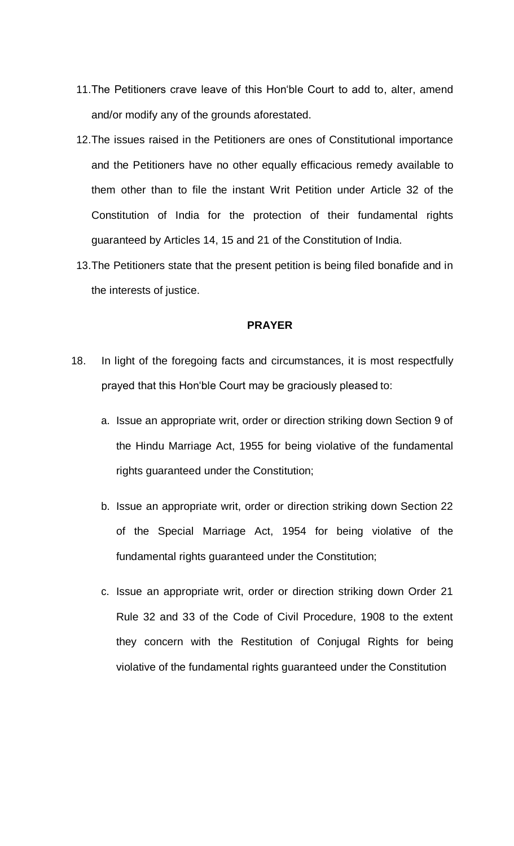- 11.The Petitioners crave leave of this Hon'ble Court to add to, alter, amend and/or modify any of the grounds aforestated.
- 12.The issues raised in the Petitioners are ones of Constitutional importance and the Petitioners have no other equally efficacious remedy available to them other than to file the instant Writ Petition under Article 32 of the Constitution of India for the protection of their fundamental rights guaranteed by Articles 14, 15 and 21 of the Constitution of India.
- 13.The Petitioners state that the present petition is being filed bonafide and in the interests of justice.

## **PRAYER**

- 18. In light of the foregoing facts and circumstances, it is most respectfully prayed that this Hon'ble Court may be graciously pleased to:
	- a. Issue an appropriate writ, order or direction striking down Section 9 of the Hindu Marriage Act, 1955 for being violative of the fundamental rights guaranteed under the Constitution;
	- b. Issue an appropriate writ, order or direction striking down Section 22 of the Special Marriage Act, 1954 for being violative of the fundamental rights guaranteed under the Constitution;
	- c. Issue an appropriate writ, order or direction striking down Order 21 Rule 32 and 33 of the Code of Civil Procedure, 1908 to the extent they concern with the Restitution of Conjugal Rights for being violative of the fundamental rights guaranteed under the Constitution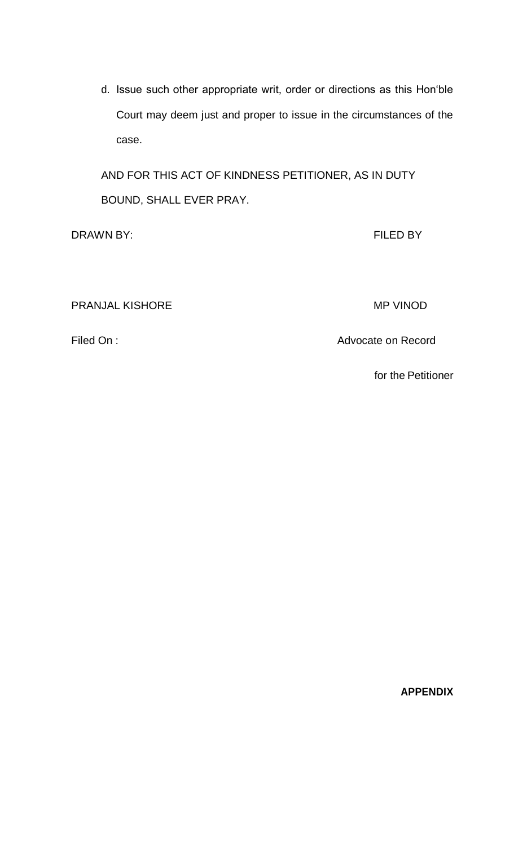d. Issue such other appropriate writ, order or directions as this Hon'ble Court may deem just and proper to issue in the circumstances of the case.

AND FOR THIS ACT OF KINDNESS PETITIONER, AS IN DUTY BOUND, SHALL EVER PRAY.

DRAWN BY: FILED BY

PRANJAL KISHORE MP VINOD

Filed On : Advocate on Record

for the Petitioner

**APPENDIX**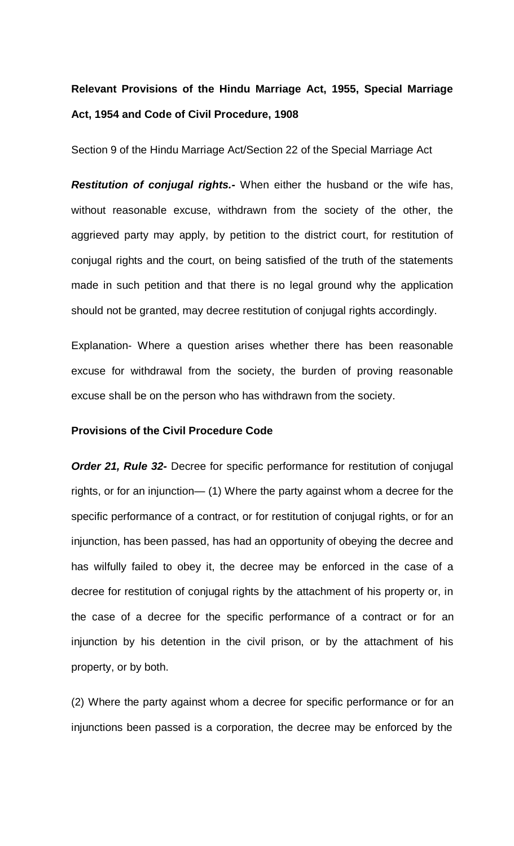# **Relevant Provisions of the Hindu Marriage Act, 1955, Special Marriage Act, 1954 and Code of Civil Procedure, 1908**

Section 9 of the Hindu Marriage Act/Section 22 of the Special Marriage Act

*Restitution of conjugal rights.-* When either the husband or the wife has, without reasonable excuse, withdrawn from the society of the other, the aggrieved party may apply, by petition to the district court, for restitution of conjugal rights and the court, on being satisfied of the truth of the statements made in such petition and that there is no legal ground why the application should not be granted, may decree restitution of conjugal rights accordingly.

Explanation- Where a question arises whether there has been reasonable excuse for withdrawal from the society, the burden of proving reasonable excuse shall be on the person who has withdrawn from the society.

## **Provisions of the Civil Procedure Code**

*Order 21, Rule 32-* Decree for specific performance for restitution of conjugal rights, or for an injunction— (1) Where the party against whom a decree for the specific performance of a contract, or for restitution of conjugal rights, or for an injunction, has been passed, has had an opportunity of obeying the decree and has wilfully failed to obey it, the decree may be enforced in the case of a decree for restitution of conjugal rights by the attachment of his property or, in the case of a decree for the specific performance of a contract or for an injunction by his detention in the civil prison, or by the attachment of his property, or by both.

(2) Where the party against whom a decree for specific performance or for an injunctions been passed is a corporation, the decree may be enforced by the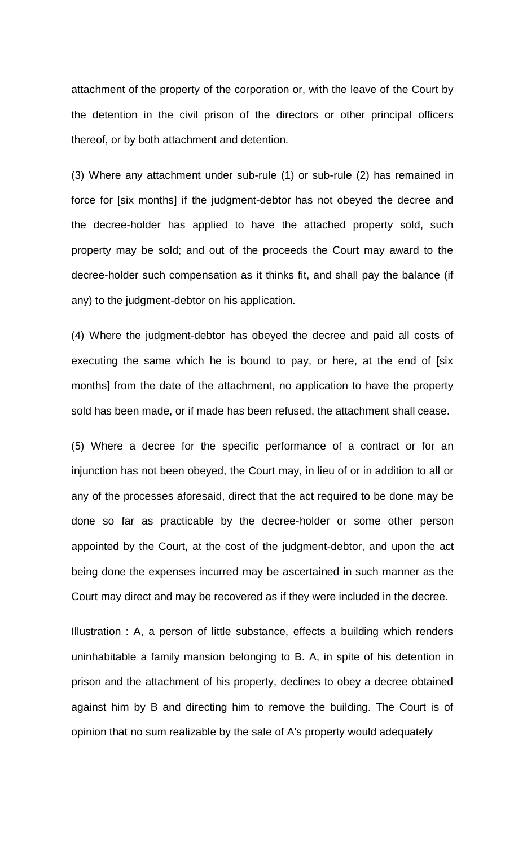attachment of the property of the corporation or, with the leave of the Court by the detention in the civil prison of the directors or other principal officers thereof, or by both attachment and detention.

(3) Where any attachment under sub-rule (1) or sub-rule (2) has remained in force for [six months] if the judgment-debtor has not obeyed the decree and the decree-holder has applied to have the attached property sold, such property may be sold; and out of the proceeds the Court may award to the decree-holder such compensation as it thinks fit, and shall pay the balance (if any) to the judgment-debtor on his application.

(4) Where the judgment-debtor has obeyed the decree and paid all costs of executing the same which he is bound to pay, or here, at the end of [six months] from the date of the attachment, no application to have the property sold has been made, or if made has been refused, the attachment shall cease.

(5) Where a decree for the specific performance of a contract or for an injunction has not been obeyed, the Court may, in lieu of or in addition to all or any of the processes aforesaid, direct that the act required to be done may be done so far as practicable by the decree-holder or some other person appointed by the Court, at the cost of the judgment-debtor, and upon the act being done the expenses incurred may be ascertained in such manner as the Court may direct and may be recovered as if they were included in the decree.

Illustration : A, a person of little substance, effects a building which renders uninhabitable a family mansion belonging to B. A, in spite of his detention in prison and the attachment of his property, declines to obey a decree obtained against him by B and directing him to remove the building. The Court is of opinion that no sum realizable by the sale of A's property would adequately